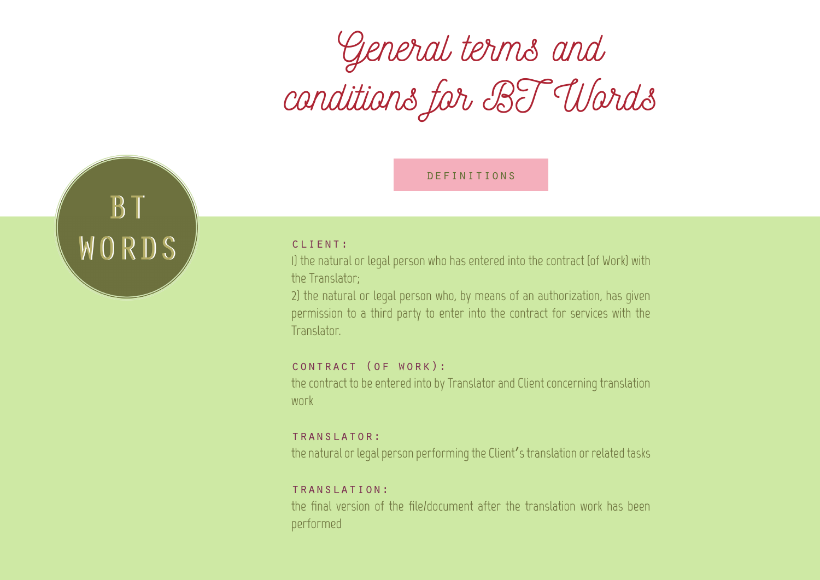# *General terms and conditions for BT Words*

# definitions



# client:

1) the natural or legal person who has entered into the contract (of Work) with the Translator;

2) the natural or legal person who, by means of an authorization, has given permission to a third party to enter into the contract for services with the Translator.

# contract (of work):

the contract to be entered into by Translator and Client concerning translation work

#### translator:

the natural or legal person performing the Client's translation or related tasks

#### translation:

the final version of the file/document after the translation work has been performed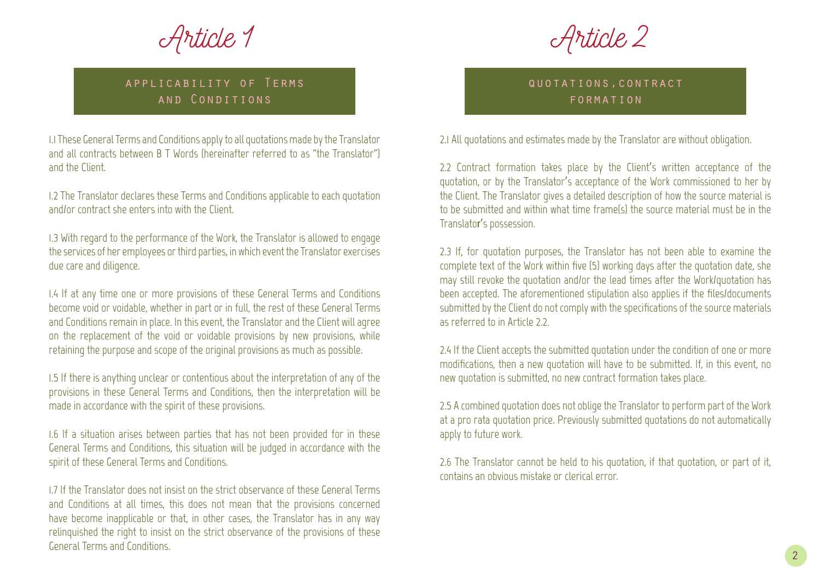*Article 1*

*Article 2*

# applicability of Terms and Conditions

1.1 These General Terms and Conditions apply to all quotations made by the Translator and all contracts between B T Words (hereinafter referred to as "the Translator") and the Client.

1.2 The Translator declares these Terms and Conditions applicable to each quotation and/or contract she enters into with the Client.

1.3 With regard to the performance of the Work, the Translator is allowed to engage the services of her employees or third parties, in which event the Translator exercises due care and diligence.

1.4 If at any time one or more provisions of these General Terms and Conditions become void or voidable, whether in part or in full, the rest of these General Terms and Conditions remain in place. In this event, the Translator and the Client will agree on the replacement of the void or voidable provisions by new provisions, while retaining the purpose and scope of the original provisions as much as possible.

1.5 If there is anything unclear or contentious about the interpretation of any of the provisions in these General Terms and Conditions, then the interpretation will be made in accordance with the spirit of these provisions.

1.6 If a situation arises between parties that has not been provided for in these General Terms and Conditions, this situation will be judged in accordance with the spirit of these General Terms and Conditions.

1.7 If the Translator does not insist on the strict observance of these General Terms and Conditions at all times, this does not mean that the provisions concerned have become inapplicable or that, in other cases, the Translator has in any way relinquished the right to insist on the strict observance of the provisions of these General Terms and Conditions.

quotations,contract formation

2.1 All quotations and estimates made by the Translator are without obligation.

2.2 Contract formation takes place by the Client's written acceptance of the quotation, or by the Translator's acceptance of the Work commissioned to her by the Client. The Translator gives a detailed description of how the source material is to be submitted and within what time frame(s) the source material must be in the Translator's possession.

2.3 If, for quotation purposes, the Translator has not been able to examine the complete text of the Work within five (5) working days after the quotation date, she may still revoke the quotation and/or the lead times after the Work/quotation has been accepted. The aforementioned stipulation also applies if the files/documents submitted by the Client do not comply with the specifications of the source materials as referred to in Article 2.2.

2.4 If the Client accepts the submitted quotation under the condition of one or more modifications, then a new quotation will have to be submitted. If, in this event, no new quotation is submitted, no new contract formation takes place.

2.5 A combined quotation does not oblige the Translator to perform part of the Work at a pro rata quotation price. Previously submitted quotations do not automatically apply to future work.

2.6 The Translator cannot be held to his quotation, if that quotation, or part of it, contains an obvious mistake or clerical error.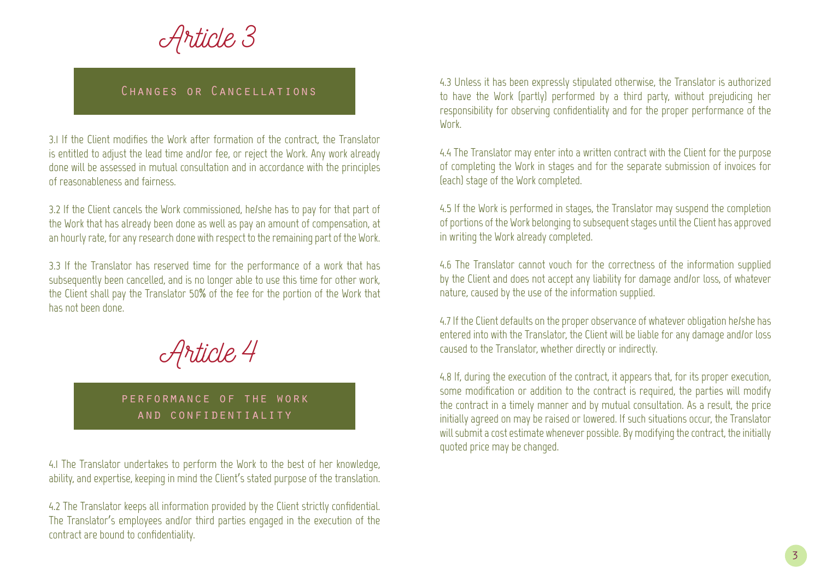*Article 3*

# Changes or Cancellations

3.1 If the Client modifies the Work after formation of the contract, the Translator is entitled to adjust the lead time and/or fee, or reject the Work. Any work already done will be assessed in mutual consultation and in accordance with the principles of reasonableness and fairness.

3.2 If the Client cancels the Work commissioned, he/she has to pay for that part of the Work that has already been done as well as pay an amount of compensation, at an hourly rate, for any research done with respect to the remaining part of the Work.

3.3 If the Translator has reserved time for the performance of a work that has subsequently been cancelled, and is no longer able to use this time for other work, the Client shall pay the Translator 50% of the fee for the portion of the Work that has not been done.



# performance of the work and confidentiality

4.1 The Translator undertakes to perform the Work to the best of her knowledge, ability, and expertise, keeping in mind the Client's stated purpose of the translation.

4.2 The Translator keeps all information provided by the Client strictly confidential. The Translator's employees and/or third parties engaged in the execution of the contract are bound to confidentiality.

4.3 Unless it has been expressly stipulated otherwise, the Translator is authorized to have the Work (partly) performed by a third party, without prejudicing her responsibility for observing confidentiality and for the proper performance of the **Work** 

4.4 The Translator may enter into a written contract with the Client for the purpose of completing the Work in stages and for the separate submission of invoices for (each) stage of the Work completed.

4.5 If the Work is performed in stages, the Translator may suspend the completion of portions of the Work belonging to subsequent stages until the Client has approved in writing the Work already completed.

4.6 The Translator cannot vouch for the correctness of the information supplied by the Client and does not accept any liability for damage and/or loss, of whatever nature, caused by the use of the information supplied.

4.7 If the Client defaults on the proper observance of whatever obligation he/she has entered into with the Translator, the Client will be liable for any damage and/or loss caused to the Translator, whether directly or indirectly.

4.8 If, during the execution of the contract, it appears that, for its proper execution, some modification or addition to the contract is required, the parties will modify the contract in a timely manner and by mutual consultation. As a result, the price initially agreed on may be raised or lowered. If such situations occur, the Translator will submit a cost estimate whenever possible. By modifying the contract, the initially quoted price may be changed.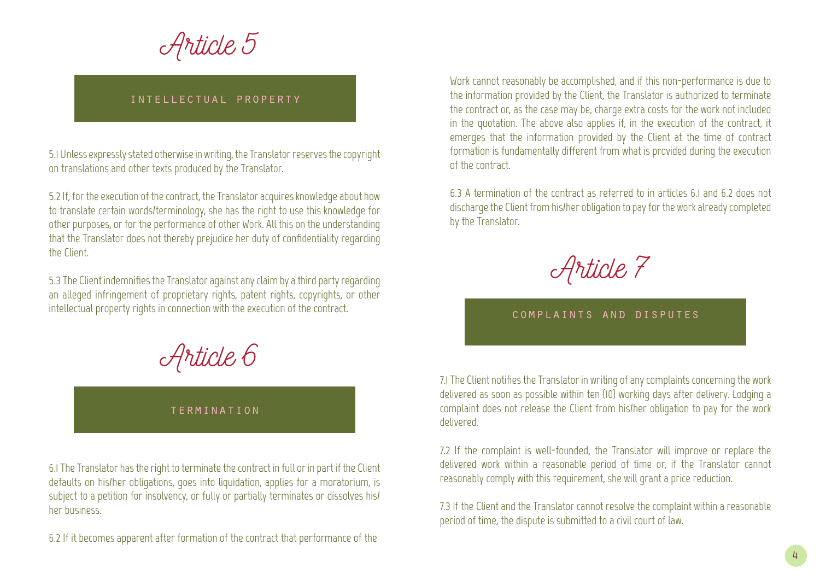*Article 5*

# intellectual property

5.1 Unless expressly stated otherwise in writing, the Translator reserves the copyright on translations and other texts produced by the Translator.

5.2 If, for the execution of the contract, the Translator acquires knowledge about how to translate certain words/terminology, she has the right to use this knowledge for other purposes, or for the performance of other Work. All this on the understanding that the Translator does not thereby prejudice her duty of confidentiality regarding the Client.

5.3 The Client indemnifies the Translator against any claim by a third party regarding an alleged infringement of proprietary rights, patent rights, copyrights, or other intellectual property rights in connection with the execution of the contract.

*Article 6*

#### termination

6.1 The Translator has the right to terminate the contract in full or in part if the Client defaults on his/her obligations, goes into liquidation, applies for a moratorium, is subject to a petition for insolvency, or fully or partially terminates or dissolves his/ her business.

6.2 If it becomes apparent after formation of the contract that performance of the

Work cannot reasonably be accomplished, and if this non-performance is due to the information provided by the Client, the Translator is authorized to terminate the contract or, as the case may be, charge extra costs for the work not included in the quotation. The above also applies if, in the execution of the contract, it emerges that the information provided by the Client at the time of contract formation is fundamentally different from what is provided during the execution of the contract.

6.3 A termination of the contract as referred to in articles 6.1 and 6.2 does not discharge the Client from his/her obligation to pay for the work already completed by the Translator.



#### complaints and disputes

7.1 The Client notifies the Translator in writing of any complaints concerning the work delivered as soon as possible within ten (10) working days after delivery. Lodging a complaint does not release the Client from his/her obligation to pay for the work delivered.

7.2 If the complaint is well-founded, the Translator will improve or replace the delivered work within a reasonable period of time or, if the Translator cannot reasonably comply with this requirement, she will grant a price reduction.

7.3 If the Client and the Translator cannot resolve the complaint within a reasonable period of time, the dispute is submitted to a civil court of law.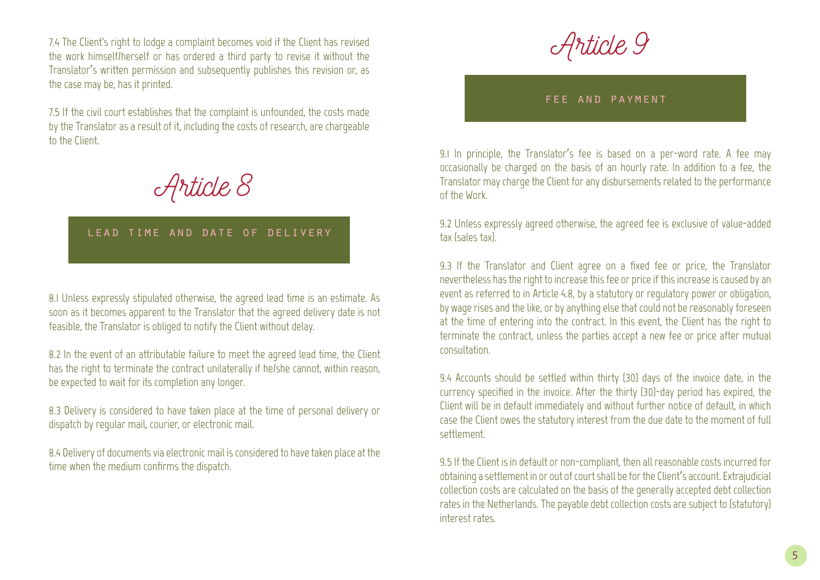7.4 The Client's right to lodge a complaint becomes void if the Client has revised the work himself/herself or has ordered a third party to revise it without the Translator's written permission and subsequently publishes this revision or, as the case may be, has it printed.

7.5 If the civil court establishes that the complaint is unfounded, the costs made by the Translator as a result of it, including the costs of research, are chargeable to the Client.

*Article 8*

# lead time and date of delivery

8.1 Unless expressly stipulated otherwise, the agreed lead time is an estimate. As soon as it becomes apparent to the Translator that the agreed delivery date is not feasible, the Translator is obliged to notify the Client without delay.

8.2 In the event of an attributable failure to meet the agreed lead time, the Client has the right to terminate the contract unilaterally if he/she cannot, within reason, be expected to wait for its completion any longer.

8.3 Delivery is considered to have taken place at the time of personal delivery or dispatch by regular mail, courier, or electronic mail.

8.4 Delivery of documents via electronic mail is considered to have taken place at the time when the medium confirms the dispatch.

*Article 9*

#### fee and payment

9.1 In principle, the Translator's fee is based on a per-word rate. A fee may occasionally be charged on the basis of an hourly rate. In addition to a fee, the Translator may charge the Client for any disbursements related to the performance of the Work.

9.2 Unless expressly agreed otherwise, the agreed fee is exclusive of value-added tax (sales tax).

9.3 If the Translator and Client agree on a fixed fee or price, the Translator nevertheless has the right to increase this fee or price if this increase is caused by an event as referred to in Article 4.8, by a statutory or regulatory power or obligation, by wage rises and the like, or by anything else that could not be reasonably foreseen at the time of entering into the contract. In this event, the Client has the right to terminate the contract, unless the parties accept a new fee or price after mutual consultation.

9.4 Accounts should be settled within thirty (30) days of the invoice date, in the currency specified in the invoice. After the thirty (30)-day period has expired, the Client will be in default immediately and without further notice of default, in which case the Client owes the statutory interest from the due date to the moment of full settlement.

9.5 If the Client is in default or non-compliant, then all reasonable costs incurred for obtaining a settlement in or out of court shall be for the Client's account. Extrajudicial collection costs are calculated on the basis of the generally accepted debt collection rates in the Netherlands. The payable debt collection costs are subject to (statutory) interest rates.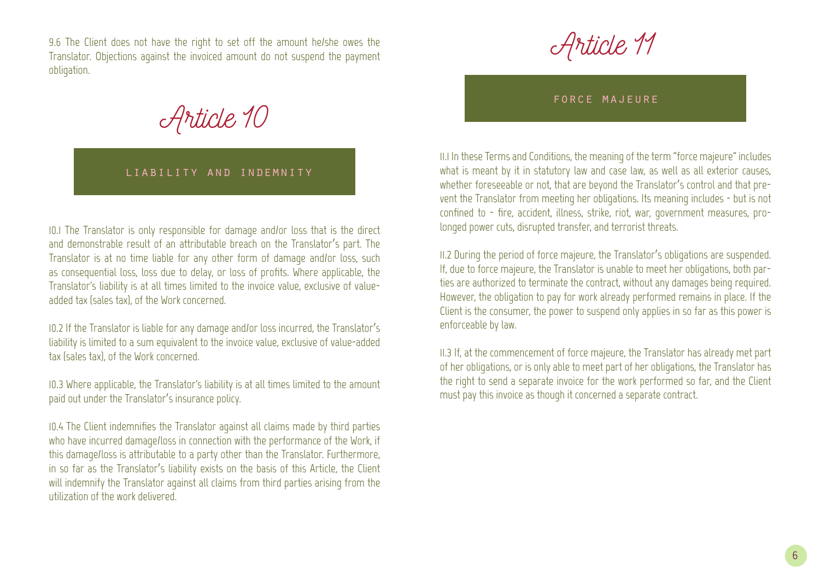9.6 The Client does not have the right to set off the amount he/she owes the Translator. Objections against the invoiced amount do not suspend the payment obligation.

*Article 10*

### liability and indemnity

10.1 The Translator is only responsible for damage and/or loss that is the direct and demonstrable result of an attributable breach on the Translator's part. The Translator is at no time liable for any other form of damage and/or loss, such as consequential loss, loss due to delay, or loss of profits. Where applicable, the Translator's liability is at all times limited to the invoice value, exclusive of valueadded tax (sales tax), of the Work concerned.

10.2 If the Translator is liable for any damage and/or loss incurred, the Translator's liability is limited to a sum equivalent to the invoice value, exclusive of value-added tax (sales tax), of the Work concerned.

10.3 Where applicable, the Translator's liability is at all times limited to the amount paid out under the Translator's insurance policy.

10.4 The Client indemnifies the Translator against all claims made by third parties who have incurred damage/loss in connection with the performance of the Work, if this damage/loss is attributable to a party other than the Translator. Furthermore, in so far as the Translator's liability exists on the basis of this Article, the Client will indemnify the Translator against all claims from third parties arising from the utilization of the work delivered.

*Article 11*

force majeure

11.1 In these Terms and Conditions, the meaning of the term "force majeure" includes what is meant by it in statutory law and case law, as well as all exterior causes, whether foreseeable or not, that are beyond the Translator's control and that prevent the Translator from meeting her obligations. Its meaning includes - but is not confined to - fire, accident, illness, strike, riot, war, government measures, prolonged power cuts, disrupted transfer, and terrorist threats.

11.2 During the period of force majeure, the Translator's obligations are suspended. If, due to force majeure, the Translator is unable to meet her obligations, both parties are authorized to terminate the contract, without any damages being required. However, the obligation to pay for work already performed remains in place. If the Client is the consumer, the power to suspend only applies in so far as this power is enforceable by law.

11.3 If, at the commencement of force majeure, the Translator has already met part of her obligations, or is only able to meet part of her obligations, the Translator has the right to send a separate invoice for the work performed so far, and the Client must pay this invoice as though it concerned a separate contract.